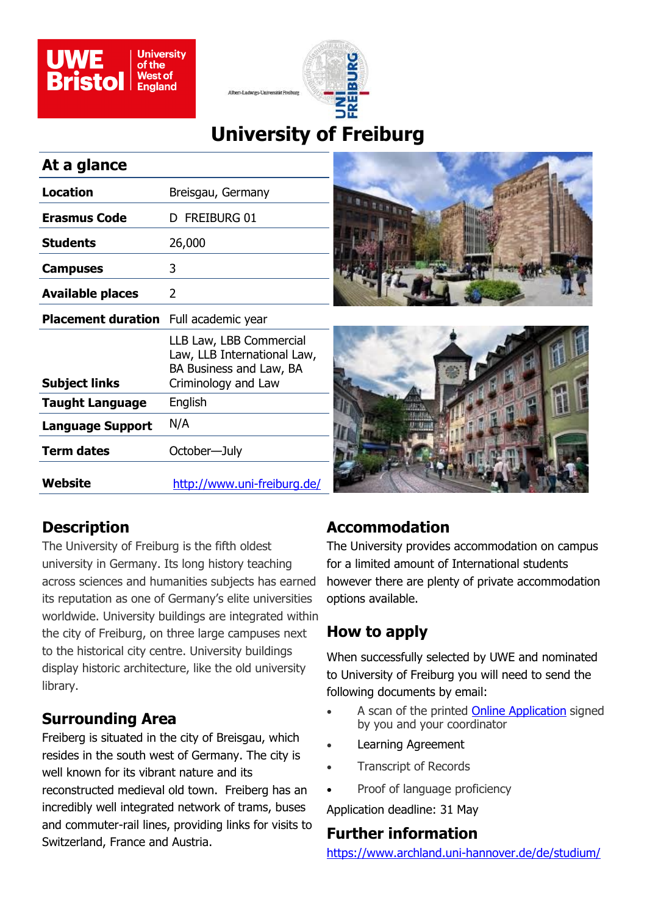



# **University of Freiburg**

#### **At a glance**

| <b>Location</b>                              | Breisgau, Germany                                                                                        |
|----------------------------------------------|----------------------------------------------------------------------------------------------------------|
| <b>Erasmus Code</b>                          | D FREIBURG 01                                                                                            |
| <b>Students</b>                              | 26,000                                                                                                   |
| <b>Campuses</b>                              | 3                                                                                                        |
| <b>Available places</b>                      | 2                                                                                                        |
| <b>Placement duration</b> Full academic year |                                                                                                          |
| <b>Subject links</b>                         | LLB Law, LBB Commercial<br>Law, LLB International Law,<br>BA Business and Law, BA<br>Criminology and Law |
| <b>Taught Language</b>                       | English                                                                                                  |
| <b>Language Support</b>                      | N/A                                                                                                      |
| <b>Term dates</b>                            | October-July                                                                                             |
| Website                                      | <u> http://www.uni-freiburg.de/</u>                                                                      |





### **Description**

The University of Freiburg is the fifth oldest university in Germany. Its long history teaching across sciences and humanities subjects has earned its reputation as one of Germany's elite universities worldwide. University buildings are integrated within the city of Freiburg, on three large campuses next to the historical city centre. University buildings display historic architecture, like the old university library.

### **Surrounding Area**

Freiberg is situated in the city of Breisgau, which resides in the south west of Germany. The city is well known for its vibrant nature and its reconstructed medieval old town. Freiberg has an incredibly well integrated network of trams, buses and commuter-rail lines, providing links for visits to Switzerland, France and Austria.

## **Accommodation**

The University provides accommodation on campus for a limited amount of International students however there are plenty of private accommodation options available.

## **How to apply**

When successfully selected by UWE and nominated to University of Freiburg you will need to send the following documents by email:

- A scan of the printed [Online Application](https://www.uni-hannover.de/de/studium/im-studium/international/incoming/austauschprogramme/erasmus-incoming/nsta-nas01.uwe.ac.uk/users4$/sc-unsworth/Personal/AFAN) signed by you and your coordinator
- Learning Agreement
- Transcript of Records
- Proof of language proficiency

Application deadline: 31 May

#### **Further information**

[https://www.archland.uni](https://www.archland.uni-hannover.de/de/studium/internationales/incomings/)-hannover.de/de/studium/